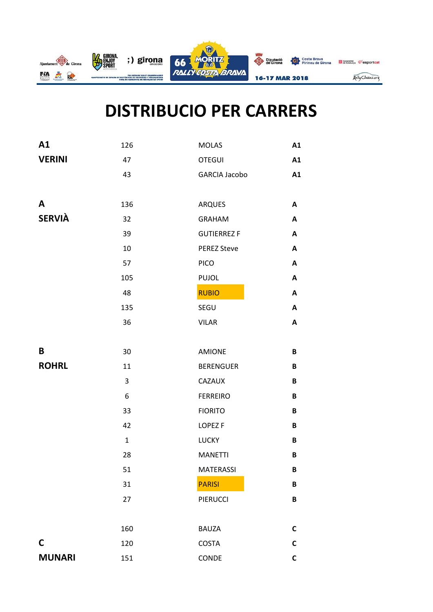

## **DISTRIBUCIO PER CARRERS**

| A1            | 126          | <b>MOLAS</b>         | A1 |
|---------------|--------------|----------------------|----|
| <b>VERINI</b> | 47           | <b>OTEGUI</b>        | A1 |
|               | 43           | <b>GARCIA Jacobo</b> | A1 |
|               |              |                      |    |
| A             | 136          | <b>ARQUES</b>        | A  |
| <b>SERVIÀ</b> | 32           | <b>GRAHAM</b>        | A  |
|               | 39           | <b>GUTIERREZ F</b>   | A  |
|               | 10           | <b>PEREZ Steve</b>   | A  |
|               | 57           | <b>PICO</b>          | A  |
|               | 105          | <b>PUJOL</b>         | Α  |
|               | 48           | <b>RUBIO</b>         | A  |
|               | 135          | SEGU                 | A  |
|               | 36           | <b>VILAR</b>         | A  |
|               |              |                      |    |
| B             | 30           | <b>AMIONE</b>        | B  |
| <b>ROHRL</b>  | 11           | <b>BERENGUER</b>     | B  |
|               | 3            | <b>CAZAUX</b>        | B  |
|               | 6            | <b>FERREIRO</b>      | B  |
|               | 33           | <b>FIORITO</b>       | B  |
|               | 42           | LOPEZ <sub>F</sub>   | B  |
|               | $\mathbf{1}$ | <b>LUCKY</b>         | B  |
|               | 28           | <b>MANETTI</b>       | B  |
|               | 51           | <b>MATERASSI</b>     | B  |
|               | 31           | <b>PARISI</b>        | B  |
|               | 27           | PIERUCCI             | B  |
|               |              |                      |    |
|               | 160          | <b>BAUZA</b>         | C  |
| $\mathsf{C}$  | 120          | COSTA                | C  |
| <b>MUNARI</b> | 151          | CONDE                | C  |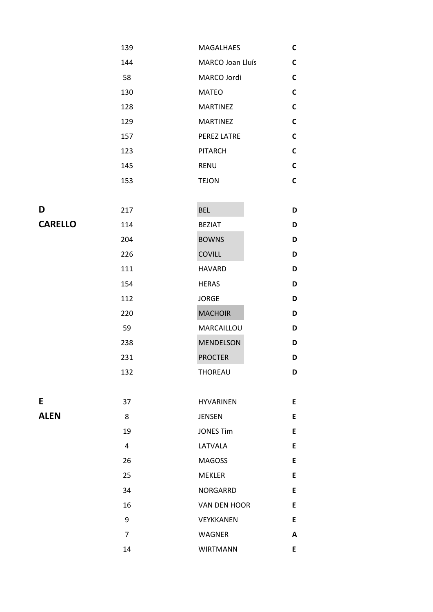|                | 139 | MAGALHAES        | $\mathsf{C}$ |
|----------------|-----|------------------|--------------|
|                | 144 | MARCO Joan Lluís | $\mathsf{C}$ |
|                | 58  | MARCO Jordi      | $\mathsf{C}$ |
|                | 130 | <b>MATEO</b>     | $\mathsf{C}$ |
|                | 128 | <b>MARTINEZ</b>  | $\mathsf{C}$ |
|                | 129 | <b>MARTINEZ</b>  | $\mathsf{C}$ |
|                | 157 | PEREZ LATRE      | $\mathsf{C}$ |
|                | 123 | <b>PITARCH</b>   | $\mathsf C$  |
|                | 145 | <b>RENU</b>      | $\mathbf C$  |
|                | 153 | <b>TEJON</b>     | $\mathsf{C}$ |
|                |     |                  |              |
| D              | 217 | <b>BEL</b>       | D            |
| <b>CARELLO</b> | 114 | <b>BEZIAT</b>    | D            |
|                | 204 | <b>BOWNS</b>     | D            |
|                | 226 | <b>COVILL</b>    | D            |
|                | 111 | <b>HAVARD</b>    | D            |
|                | 154 | <b>HERAS</b>     | D            |
|                | 112 | <b>JORGE</b>     | D            |
|                | 220 | <b>MACHOIR</b>   | D            |
|                | 59  | MARCAILLOU       | D            |
|                | 238 | <b>MENDELSON</b> | D            |
|                | 231 | <b>PROCTER</b>   | D            |

|             | 132            | THOREAU          | D |
|-------------|----------------|------------------|---|
|             |                |                  |   |
| E           | 37             | <b>HYVARINEN</b> | E |
| <b>ALEN</b> | 8              | <b>JENSEN</b>    | E |
|             | 19             | <b>JONES Tim</b> | E |
|             | 4              | LATVALA          | E |
|             | 26             | <b>MAGOSS</b>    | E |
|             | 25             | <b>MEKLER</b>    | E |
|             | 34             | <b>NORGARRD</b>  | E |
|             | 16             | VAN DEN HOOR     | E |
|             | 9              | VEYKKANEN        | E |
|             | $\overline{7}$ | <b>WAGNER</b>    | A |
|             | 14             | <b>WIRTMANN</b>  | E |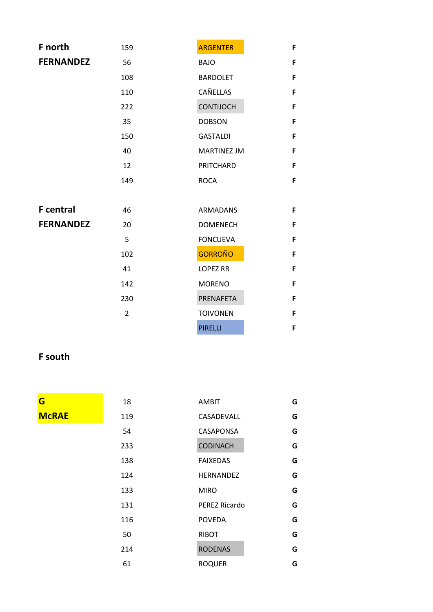| F north          | 159            | <b>ARGENTER</b>    | F |
|------------------|----------------|--------------------|---|
| <b>FERNANDEZ</b> | 56             | <b>BAJO</b>        | F |
|                  | 108            | <b>BARDOLET</b>    | F |
|                  | 110            | CAÑELLAS           | F |
|                  | 222            | <b>CONTIJOCH</b>   | F |
|                  | 35             | <b>DOBSON</b>      | F |
|                  | 150            | <b>GASTALDI</b>    | F |
|                  | 40             | <b>MARTINEZ JM</b> | F |
|                  | 12             | PRITCHARD          | F |
|                  | 149            | <b>ROCA</b>        | F |
|                  |                |                    |   |
| <b>F</b> central | 46             | <b>ARMADANS</b>    | F |
| <b>FERNANDEZ</b> | 20             | <b>DOMENECH</b>    | F |
|                  | 5              | <b>FONCUEVA</b>    | F |
|                  | 102            | <b>GORROÑO</b>     | F |
|                  | 41             | <b>LOPEZ RR</b>    | F |
|                  | 142            | <b>MORENO</b>      | F |
|                  | 230            | PRENAFETA          | F |
|                  | $\overline{2}$ | <b>TOIVONEN</b>    | F |
|                  |                | <b>PIRELLI</b>     | F |

## **F south**

 $$ 

| G            | 18  | <b>AMBIT</b>     | G |
|--------------|-----|------------------|---|
| <b>McRAE</b> | 119 | CASADEVALL       | G |
|              | 54  | CASAPONSA        | G |
|              | 233 | <b>CODINACH</b>  | G |
|              | 138 | <b>FAIXEDAS</b>  | G |
|              | 124 | <b>HERNANDEZ</b> | G |
|              | 133 | <b>MIRO</b>      | G |
|              | 131 | PEREZ Ricardo    | G |
|              | 116 | <b>POVEDA</b>    | G |
|              | 50  | <b>RIBOT</b>     | G |
|              | 214 | <b>RODENAS</b>   | G |
|              | 61  | <b>ROQUER</b>    | G |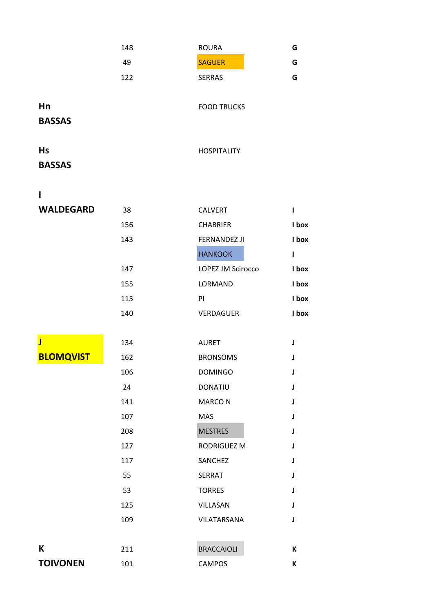|                         | 148 | <b>ROURA</b>        | G            |
|-------------------------|-----|---------------------|--------------|
|                         | 49  | <b>SAGUER</b>       | G            |
|                         | 122 | <b>SERRAS</b>       | G            |
|                         |     |                     |              |
| Hn                      |     | <b>FOOD TRUCKS</b>  |              |
| <b>BASSAS</b>           |     |                     |              |
|                         |     |                     |              |
| <b>Hs</b>               |     | <b>HOSPITALITY</b>  |              |
| <b>BASSAS</b>           |     |                     |              |
| ı                       |     |                     |              |
| <b>WALDEGARD</b>        | 38  | CALVERT             | $\mathbf{I}$ |
|                         | 156 | <b>CHABRIER</b>     | I box        |
|                         | 143 | <b>FERNANDEZ JI</b> | I box        |
|                         |     | <b>HANKOOK</b>      | $\mathbf{I}$ |
|                         | 147 | LOPEZ JM Scirocco   | I box        |
|                         | 155 | LORMAND             | I box        |
|                         | 115 | PI                  | I box        |
|                         | 140 | VERDAGUER           | I box        |
|                         |     |                     |              |
| $\overline{\mathsf{J}}$ | 134 | <b>AURET</b>        | J            |
| <b>BLOMQVIST</b>        | 162 | <b>BRONSOMS</b>     | J            |
|                         | 106 | <b>DOMINGO</b>      | J            |
|                         | 24  | <b>DONATIU</b>      | J            |
|                         | 141 | <b>MARCON</b>       | J            |
|                         | 107 | <b>MAS</b>          | J            |
|                         | 208 | <b>MESTRES</b>      | J            |
|                         | 127 | RODRIGUEZ M         | J            |
|                         | 117 | SANCHEZ             | J            |
|                         | 55  | <b>SERRAT</b>       | J            |
|                         | 53  | <b>TORRES</b>       | J            |
|                         | 125 | VILLASAN            | J            |
|                         | 109 | VILATARSANA         | J            |
|                         |     |                     |              |
| K                       | 211 | <b>BRACCAIOLI</b>   | К            |
| <b>TOIVONEN</b>         | 101 | <b>CAMPOS</b>       | К            |